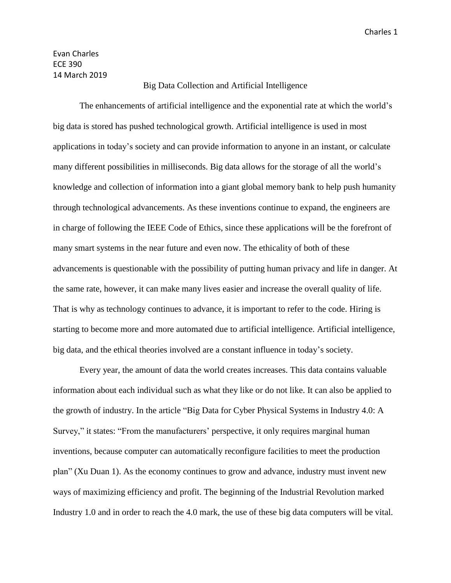Evan Charles ECE 390 14 March 2019

## Big Data Collection and Artificial Intelligence

The enhancements of artificial intelligence and the exponential rate at which the world's big data is stored has pushed technological growth. Artificial intelligence is used in most applications in today's society and can provide information to anyone in an instant, or calculate many different possibilities in milliseconds. Big data allows for the storage of all the world's knowledge and collection of information into a giant global memory bank to help push humanity through technological advancements. As these inventions continue to expand, the engineers are in charge of following the IEEE Code of Ethics, since these applications will be the forefront of many smart systems in the near future and even now. The ethicality of both of these advancements is questionable with the possibility of putting human privacy and life in danger. At the same rate, however, it can make many lives easier and increase the overall quality of life. That is why as technology continues to advance, it is important to refer to the code. Hiring is starting to become more and more automated due to artificial intelligence. Artificial intelligence, big data, and the ethical theories involved are a constant influence in today's society.

Every year, the amount of data the world creates increases. This data contains valuable information about each individual such as what they like or do not like. It can also be applied to the growth of industry. In the article "Big Data for Cyber Physical Systems in Industry 4.0: A Survey," it states: "From the manufacturers' perspective, it only requires marginal human inventions, because computer can automatically reconfigure facilities to meet the production plan" (Xu Duan 1). As the economy continues to grow and advance, industry must invent new ways of maximizing efficiency and profit. The beginning of the Industrial Revolution marked Industry 1.0 and in order to reach the 4.0 mark, the use of these big data computers will be vital.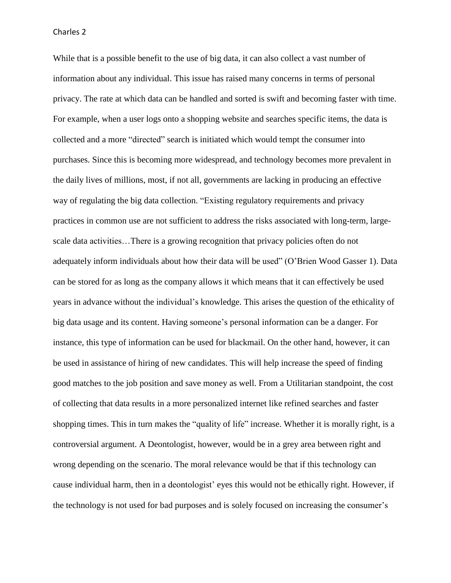While that is a possible benefit to the use of big data, it can also collect a vast number of information about any individual. This issue has raised many concerns in terms of personal privacy. The rate at which data can be handled and sorted is swift and becoming faster with time. For example, when a user logs onto a shopping website and searches specific items, the data is collected and a more "directed" search is initiated which would tempt the consumer into purchases. Since this is becoming more widespread, and technology becomes more prevalent in the daily lives of millions, most, if not all, governments are lacking in producing an effective way of regulating the big data collection. "Existing regulatory requirements and privacy practices in common use are not sufficient to address the risks associated with long-term, largescale data activities…There is a growing recognition that privacy policies often do not adequately inform individuals about how their data will be used" (O'Brien Wood Gasser 1). Data can be stored for as long as the company allows it which means that it can effectively be used years in advance without the individual's knowledge. This arises the question of the ethicality of big data usage and its content. Having someone's personal information can be a danger. For instance, this type of information can be used for blackmail. On the other hand, however, it can be used in assistance of hiring of new candidates. This will help increase the speed of finding good matches to the job position and save money as well. From a Utilitarian standpoint, the cost of collecting that data results in a more personalized internet like refined searches and faster shopping times. This in turn makes the "quality of life" increase. Whether it is morally right, is a controversial argument. A Deontologist, however, would be in a grey area between right and wrong depending on the scenario. The moral relevance would be that if this technology can cause individual harm, then in a deontologist' eyes this would not be ethically right. However, if the technology is not used for bad purposes and is solely focused on increasing the consumer's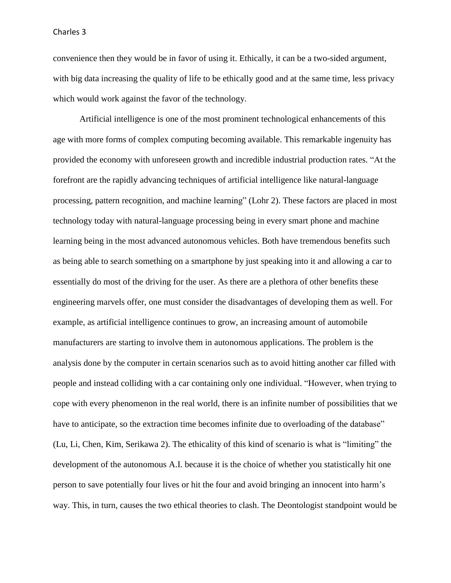convenience then they would be in favor of using it. Ethically, it can be a two-sided argument, with big data increasing the quality of life to be ethically good and at the same time, less privacy which would work against the favor of the technology.

Artificial intelligence is one of the most prominent technological enhancements of this age with more forms of complex computing becoming available. This remarkable ingenuity has provided the economy with unforeseen growth and incredible industrial production rates. "At the forefront are the rapidly advancing techniques of artificial intelligence like natural-language processing, pattern recognition, and machine learning" (Lohr 2). These factors are placed in most technology today with natural-language processing being in every smart phone and machine learning being in the most advanced autonomous vehicles. Both have tremendous benefits such as being able to search something on a smartphone by just speaking into it and allowing a car to essentially do most of the driving for the user. As there are a plethora of other benefits these engineering marvels offer, one must consider the disadvantages of developing them as well. For example, as artificial intelligence continues to grow, an increasing amount of automobile manufacturers are starting to involve them in autonomous applications. The problem is the analysis done by the computer in certain scenarios such as to avoid hitting another car filled with people and instead colliding with a car containing only one individual. "However, when trying to cope with every phenomenon in the real world, there is an infinite number of possibilities that we have to anticipate, so the extraction time becomes infinite due to overloading of the database" (Lu, Li, Chen, Kim, Serikawa 2). The ethicality of this kind of scenario is what is "limiting" the development of the autonomous A.I. because it is the choice of whether you statistically hit one person to save potentially four lives or hit the four and avoid bringing an innocent into harm's way. This, in turn, causes the two ethical theories to clash. The Deontologist standpoint would be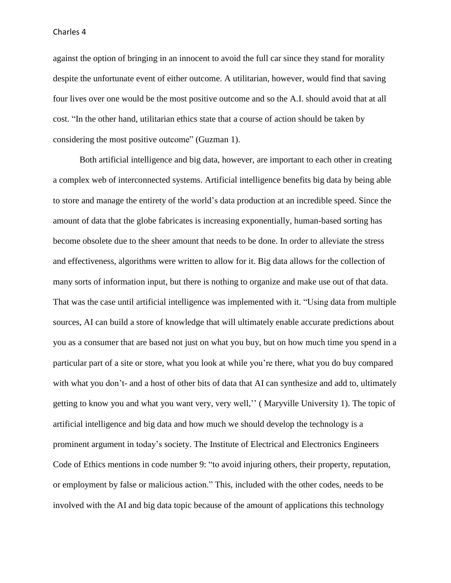Charles 4

against the option of bringing in an innocent to avoid the full car since they stand for morality despite the unfortunate event of either outcome. A utilitarian, however, would find that saving four lives over one would be the most positive outcome and so the A.I. should avoid that at all cost. "In the other hand, utilitarian ethics state that a course of action should be taken by considering the most positive outcome" (Guzman 1).

Both artificial intelligence and big data, however, are important to each other in creating a complex web of interconnected systems. Artificial intelligence benefits big data by being able to store and manage the entirety of the world's data production at an incredible speed. Since the amount of data that the globe fabricates is increasing exponentially, human-based sorting has become obsolete due to the sheer amount that needs to be done. In order to alleviate the stress and effectiveness, algorithms were written to allow for it. Big data allows for the collection of many sorts of information input, but there is nothing to organize and make use out of that data. That was the case until artificial intelligence was implemented with it. "Using data from multiple sources, AI can build a store of knowledge that will ultimately enable accurate predictions about you as a consumer that are based not just on what you buy, but on how much time you spend in a particular part of a site or store, what you look at while you're there, what you do buy compared with what you don't- and a host of other bits of data that AI can synthesize and add to, ultimately getting to know you and what you want very, very well,'' ( Maryville University 1). The topic of artificial intelligence and big data and how much we should develop the technology is a prominent argument in today's society. The Institute of Electrical and Electronics Engineers Code of Ethics mentions in code number 9: "to avoid injuring others, their property, reputation, or employment by false or malicious action." This, included with the other codes, needs to be involved with the AI and big data topic because of the amount of applications this technology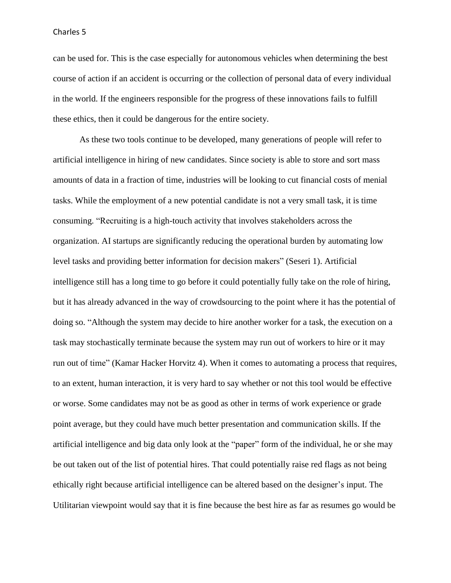## Charles 5

can be used for. This is the case especially for autonomous vehicles when determining the best course of action if an accident is occurring or the collection of personal data of every individual in the world. If the engineers responsible for the progress of these innovations fails to fulfill these ethics, then it could be dangerous for the entire society.

As these two tools continue to be developed, many generations of people will refer to artificial intelligence in hiring of new candidates. Since society is able to store and sort mass amounts of data in a fraction of time, industries will be looking to cut financial costs of menial tasks. While the employment of a new potential candidate is not a very small task, it is time consuming. "Recruiting is a high-touch activity that involves stakeholders across the organization. AI startups are significantly reducing the operational burden by automating low level tasks and providing better information for decision makers" (Seseri 1). Artificial intelligence still has a long time to go before it could potentially fully take on the role of hiring, but it has already advanced in the way of crowdsourcing to the point where it has the potential of doing so. "Although the system may decide to hire another worker for a task, the execution on a task may stochastically terminate because the system may run out of workers to hire or it may run out of time" (Kamar Hacker Horvitz 4). When it comes to automating a process that requires, to an extent, human interaction, it is very hard to say whether or not this tool would be effective or worse. Some candidates may not be as good as other in terms of work experience or grade point average, but they could have much better presentation and communication skills. If the artificial intelligence and big data only look at the "paper" form of the individual, he or she may be out taken out of the list of potential hires. That could potentially raise red flags as not being ethically right because artificial intelligence can be altered based on the designer's input. The Utilitarian viewpoint would say that it is fine because the best hire as far as resumes go would be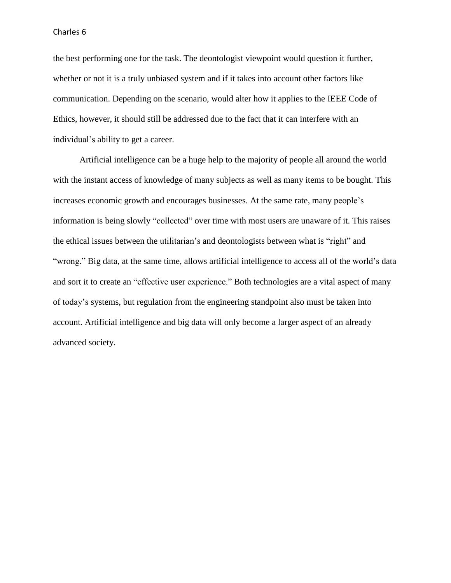## Charles 6

the best performing one for the task. The deontologist viewpoint would question it further, whether or not it is a truly unbiased system and if it takes into account other factors like communication. Depending on the scenario, would alter how it applies to the IEEE Code of Ethics, however, it should still be addressed due to the fact that it can interfere with an individual's ability to get a career.

Artificial intelligence can be a huge help to the majority of people all around the world with the instant access of knowledge of many subjects as well as many items to be bought. This increases economic growth and encourages businesses. At the same rate, many people's information is being slowly "collected" over time with most users are unaware of it. This raises the ethical issues between the utilitarian's and deontologists between what is "right" and "wrong." Big data, at the same time, allows artificial intelligence to access all of the world's data and sort it to create an "effective user experience." Both technologies are a vital aspect of many of today's systems, but regulation from the engineering standpoint also must be taken into account. Artificial intelligence and big data will only become a larger aspect of an already advanced society.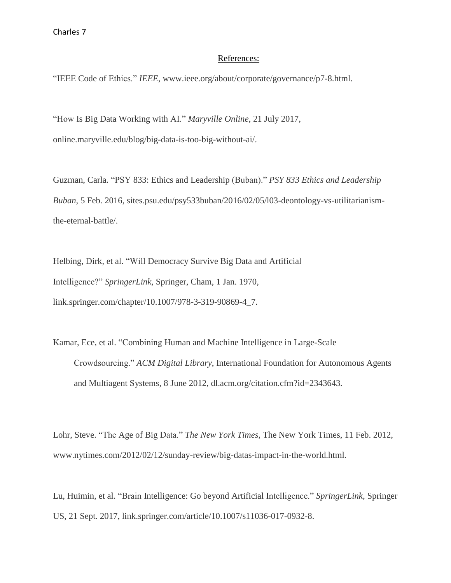## References:

"IEEE Code of Ethics." *IEEE*, www.ieee.org/about/corporate/governance/p7-8.html.

"How Is Big Data Working with AI." *Maryville Online*, 21 July 2017, online.maryville.edu/blog/big-data-is-too-big-without-ai/.

Guzman, Carla. "PSY 833: Ethics and Leadership (Buban)." *PSY 833 Ethics and Leadership Buban*, 5 Feb. 2016, sites.psu.edu/psy533buban/2016/02/05/l03-deontology-vs-utilitarianismthe-eternal-battle/.

Helbing, Dirk, et al. "Will Democracy Survive Big Data and Artificial Intelligence?" *SpringerLink*, Springer, Cham, 1 Jan. 1970, link.springer.com/chapter/10.1007/978-3-319-90869-4\_7.

Kamar, Ece, et al. "Combining Human and Machine Intelligence in Large-Scale Crowdsourcing." *ACM Digital Library*, International Foundation for Autonomous Agents and Multiagent Systems, 8 June 2012, dl.acm.org/citation.cfm?id=2343643.

Lohr, Steve. "The Age of Big Data." *The New York Times*, The New York Times, 11 Feb. 2012, www.nytimes.com/2012/02/12/sunday-review/big-datas-impact-in-the-world.html.

Lu, Huimin, et al. "Brain Intelligence: Go beyond Artificial Intelligence." *SpringerLink*, Springer US, 21 Sept. 2017, link.springer.com/article/10.1007/s11036-017-0932-8.